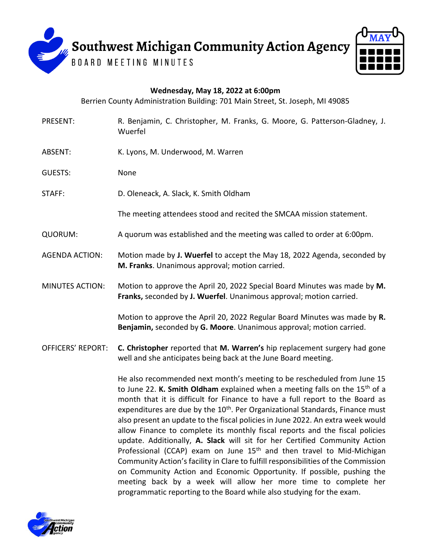

## **Wednesday, May 18, 2022 at 6:00pm**

Berrien County Administration Building: 701 Main Street, St. Joseph, MI 49085

- PRESENT: R. Benjamin, C. Christopher, M. Franks, G. Moore, G. Patterson-Gladney, J. Wuerfel
- ABSENT: K. Lyons, M. Underwood, M. Warren
- GUESTS: None
- STAFF: D. Oleneack, A. Slack, K. Smith Oldham

The meeting attendees stood and recited the SMCAA mission statement.

- QUORUM: A quorum was established and the meeting was called to order at 6:00pm.
- AGENDA ACTION: Motion made by **J. Wuerfel** to accept the May 18, 2022 Agenda, seconded by **M. Franks**. Unanimous approval; motion carried.
- MINUTES ACTION: Motion to approve the April 20, 2022 Special Board Minutes was made by **M. Franks,** seconded by **J. Wuerfel**. Unanimous approval; motion carried.

Motion to approve the April 20, 2022 Regular Board Minutes was made by **R. Benjamin,** seconded by **G. Moore**. Unanimous approval; motion carried.

OFFICERS' REPORT: **C. Christopher** reported that **M. Warren's** hip replacement surgery had gone well and she anticipates being back at the June Board meeting.

> He also recommended next month's meeting to be rescheduled from June 15 to June 22. **K. Smith Oldham** explained when a meeting falls on the 15th of a month that it is difficult for Finance to have a full report to the Board as expenditures are due by the  $10<sup>th</sup>$ . Per Organizational Standards, Finance must also present an update to the fiscal policies in June 2022. An extra week would allow Finance to complete its monthly fiscal reports and the fiscal policies update. Additionally, **A. Slack** will sit for her Certified Community Action Professional (CCAP) exam on June  $15<sup>th</sup>$  and then travel to Mid-Michigan Community Action's facility in Clare to fulfill responsibilities of the Commission on Community Action and Economic Opportunity. If possible, pushing the meeting back by a week will allow her more time to complete her programmatic reporting to the Board while also studying for the exam.

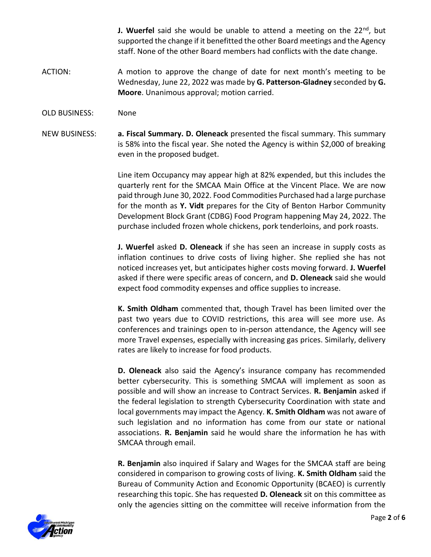**J. Wuerfel** said she would be unable to attend a meeting on the 22<sup>nd</sup>, but supported the change if it benefitted the other Board meetings and the Agency staff. None of the other Board members had conflicts with the date change.

- ACTION: A motion to approve the change of date for next month's meeting to be Wednesday, June 22, 2022 was made by **G. Patterson-Gladney** seconded by **G. Moore**. Unanimous approval; motion carried.
- OLD BUSINESS: None

NEW BUSINESS: **a. Fiscal Summary. D. Oleneack** presented the fiscal summary. This summary is 58% into the fiscal year. She noted the Agency is within \$2,000 of breaking even in the proposed budget.

> Line item Occupancy may appear high at 82% expended, but this includes the quarterly rent for the SMCAA Main Office at the Vincent Place. We are now paid through June 30, 2022. Food Commodities Purchased had a large purchase for the month as **Y. Vidt** prepares for the City of Benton Harbor Community Development Block Grant (CDBG) Food Program happening May 24, 2022. The purchase included frozen whole chickens, pork tenderloins, and pork roasts.

> **J. Wuerfel** asked **D. Oleneack** if she has seen an increase in supply costs as inflation continues to drive costs of living higher. She replied she has not noticed increases yet, but anticipates higher costs moving forward. **J. Wuerfel** asked if there were specific areas of concern, and **D. Oleneack** said she would expect food commodity expenses and office supplies to increase.

> **K. Smith Oldham** commented that, though Travel has been limited over the past two years due to COVID restrictions, this area will see more use. As conferences and trainings open to in-person attendance, the Agency will see more Travel expenses, especially with increasing gas prices. Similarly, delivery rates are likely to increase for food products.

> **D. Oleneack** also said the Agency's insurance company has recommended better cybersecurity. This is something SMCAA will implement as soon as possible and will show an increase to Contract Services. **R. Benjamin** asked if the federal legislation to strength Cybersecurity Coordination with state and local governments may impact the Agency. **K. Smith Oldham** was not aware of such legislation and no information has come from our state or national associations. **R. Benjamin** said he would share the information he has with SMCAA through email.

> **R. Benjamin** also inquired if Salary and Wages for the SMCAA staff are being considered in comparison to growing costs of living. **K. Smith Oldham** said the Bureau of Community Action and Economic Opportunity (BCAEO) is currently researching this topic. She has requested **D. Oleneack** sit on this committee as only the agencies sitting on the committee will receive information from the

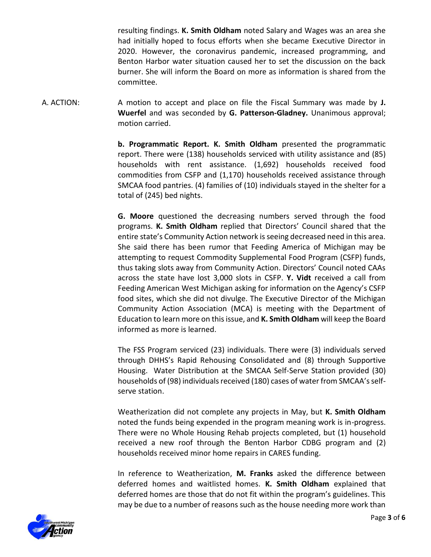resulting findings. **K. Smith Oldham** noted Salary and Wages was an area she had initially hoped to focus efforts when she became Executive Director in 2020. However, the coronavirus pandemic, increased programming, and Benton Harbor water situation caused her to set the discussion on the back burner. She will inform the Board on more as information is shared from the committee.

A. ACTION: A motion to accept and place on file the Fiscal Summary was made by **J. Wuerfel** and was seconded by **G. Patterson-Gladney.** Unanimous approval; motion carried.

> **b. Programmatic Report. K. Smith Oldham** presented the programmatic report. There were (138) households serviced with utility assistance and (85) households with rent assistance. (1,692) households received food commodities from CSFP and (1,170) households received assistance through SMCAA food pantries. (4) families of (10) individuals stayed in the shelter for a total of (245) bed nights.

> **G. Moore** questioned the decreasing numbers served through the food programs. **K. Smith Oldham** replied that Directors' Council shared that the entire state's Community Action network is seeing decreased need in this area. She said there has been rumor that Feeding America of Michigan may be attempting to request Commodity Supplemental Food Program (CSFP) funds, thus taking slots away from Community Action. Directors' Council noted CAAs across the state have lost 3,000 slots in CSFP. **Y. Vidt** received a call from Feeding American West Michigan asking for information on the Agency's CSFP food sites, which she did not divulge. The Executive Director of the Michigan Community Action Association (MCA) is meeting with the Department of Education to learn more on this issue, and **K. Smith Oldham** will keep the Board informed as more is learned.

> The FSS Program serviced (23) individuals. There were (3) individuals served through DHHS's Rapid Rehousing Consolidated and (8) through Supportive Housing. Water Distribution at the SMCAA Self-Serve Station provided (30) households of (98) individuals received (180) cases of water from SMCAA's selfserve station.

> Weatherization did not complete any projects in May, but **K. Smith Oldham**  noted the funds being expended in the program meaning work is in-progress. There were no Whole Housing Rehab projects completed, but (1) household received a new roof through the Benton Harbor CDBG program and (2) households received minor home repairs in CARES funding.

> In reference to Weatherization, **M. Franks** asked the difference between deferred homes and waitlisted homes. **K. Smith Oldham** explained that deferred homes are those that do not fit within the program's guidelines. This may be due to a number of reasons such as the house needing more work than

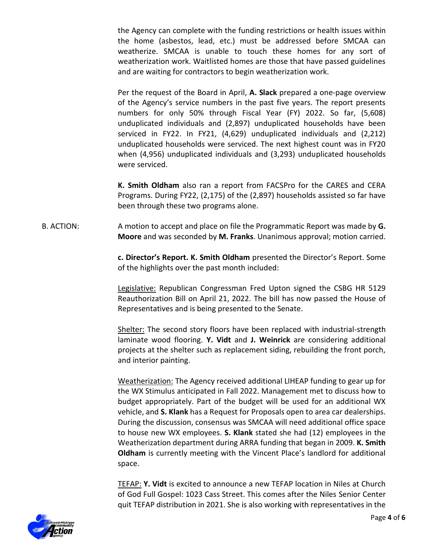the Agency can complete with the funding restrictions or health issues within the home (asbestos, lead, etc.) must be addressed before SMCAA can weatherize. SMCAA is unable to touch these homes for any sort of weatherization work. Waitlisted homes are those that have passed guidelines and are waiting for contractors to begin weatherization work.

Per the request of the Board in April, **A. Slack** prepared a one-page overview of the Agency's service numbers in the past five years. The report presents numbers for only 50% through Fiscal Year (FY) 2022. So far, (5,608) unduplicated individuals and (2,897) unduplicated households have been serviced in FY22. In FY21, (4,629) unduplicated individuals and (2,212) unduplicated households were serviced. The next highest count was in FY20 when (4,956) unduplicated individuals and (3,293) unduplicated households were serviced.

**K. Smith Oldham** also ran a report from FACSPro for the CARES and CERA Programs. During FY22, (2,175) of the (2,897) households assisted so far have been through these two programs alone.

B. ACTION: A motion to accept and place on file the Programmatic Report was made by **G. Moore** and was seconded by **M. Franks**. Unanimous approval; motion carried.

> **c. Director's Report. K. Smith Oldham** presented the Director's Report. Some of the highlights over the past month included:

> Legislative: Republican Congressman Fred Upton signed the CSBG HR 5129 Reauthorization Bill on April 21, 2022. The bill has now passed the House of Representatives and is being presented to the Senate.

> Shelter: The second story floors have been replaced with industrial-strength laminate wood flooring. **Y. Vidt** and **J. Weinrick** are considering additional projects at the shelter such as replacement siding, rebuilding the front porch, and interior painting.

> Weatherization: The Agency received additional LIHEAP funding to gear up for the WX Stimulus anticipated in Fall 2022. Management met to discuss how to budget appropriately. Part of the budget will be used for an additional WX vehicle, and **S. Klank** has a Request for Proposals open to area car dealerships. During the discussion, consensus was SMCAA will need additional office space to house new WX employees. **S. Klank** stated she had (12) employees in the Weatherization department during ARRA funding that began in 2009. **K. Smith Oldham** is currently meeting with the Vincent Place's landlord for additional space.

> TEFAP: **Y. Vidt** is excited to announce a new TEFAP location in Niles at Church of God Full Gospel: 1023 Cass Street. This comes after the Niles Senior Center quit TEFAP distribution in 2021. She is also working with representatives in the

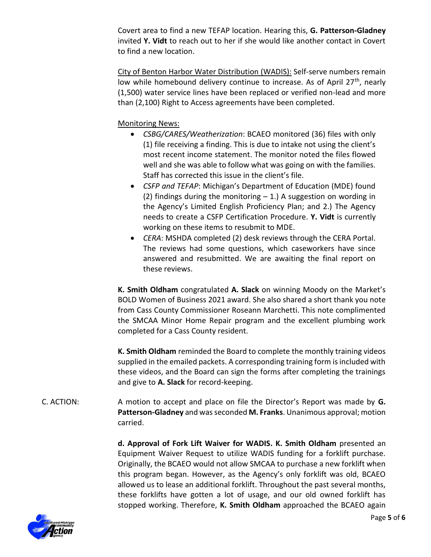Covert area to find a new TEFAP location. Hearing this, **G. Patterson-Gladney** invited **Y. Vidt** to reach out to her if she would like another contact in Covert to find a new location.

City of Benton Harbor Water Distribution (WADIS): Self-serve numbers remain low while homebound delivery continue to increase. As of April  $27<sup>th</sup>$ , nearly (1,500) water service lines have been replaced or verified non-lead and more than (2,100) Right to Access agreements have been completed.

Monitoring News:

- *CSBG/CARES/Weatherization*: BCAEO monitored (36) files with only (1) file receiving a finding. This is due to intake not using the client's most recent income statement. The monitor noted the files flowed well and she was able to follow what was going on with the families. Staff has corrected this issue in the client's file.
- *CSFP and TEFAP*: Michigan's Department of Education (MDE) found (2) findings during the monitoring  $-1$ .) A suggestion on wording in the Agency's Limited English Proficiency Plan; and 2.) The Agency needs to create a CSFP Certification Procedure. **Y. Vidt** is currently working on these items to resubmit to MDE.
- *CERA*: MSHDA completed (2) desk reviews through the CERA Portal. The reviews had some questions, which caseworkers have since answered and resubmitted. We are awaiting the final report on these reviews.

**K. Smith Oldham** congratulated **A. Slack** on winning Moody on the Market's BOLD Women of Business 2021 award. She also shared a short thank you note from Cass County Commissioner Roseann Marchetti. This note complimented the SMCAA Minor Home Repair program and the excellent plumbing work completed for a Cass County resident.

**K. Smith Oldham** reminded the Board to complete the monthly training videos supplied in the emailed packets. A corresponding training form is included with these videos, and the Board can sign the forms after completing the trainings and give to **A. Slack** for record-keeping.

C. ACTION: A motion to accept and place on file the Director's Report was made by **G. Patterson-Gladney** and was seconded **M. Franks**. Unanimous approval; motion carried.

> **d. Approval of Fork Lift Waiver for WADIS. K. Smith Oldham** presented an Equipment Waiver Request to utilize WADIS funding for a forklift purchase. Originally, the BCAEO would not allow SMCAA to purchase a new forklift when this program began. However, as the Agency's only forklift was old, BCAEO allowed us to lease an additional forklift. Throughout the past several months, these forklifts have gotten a lot of usage, and our old owned forklift has stopped working. Therefore, **K. Smith Oldham** approached the BCAEO again